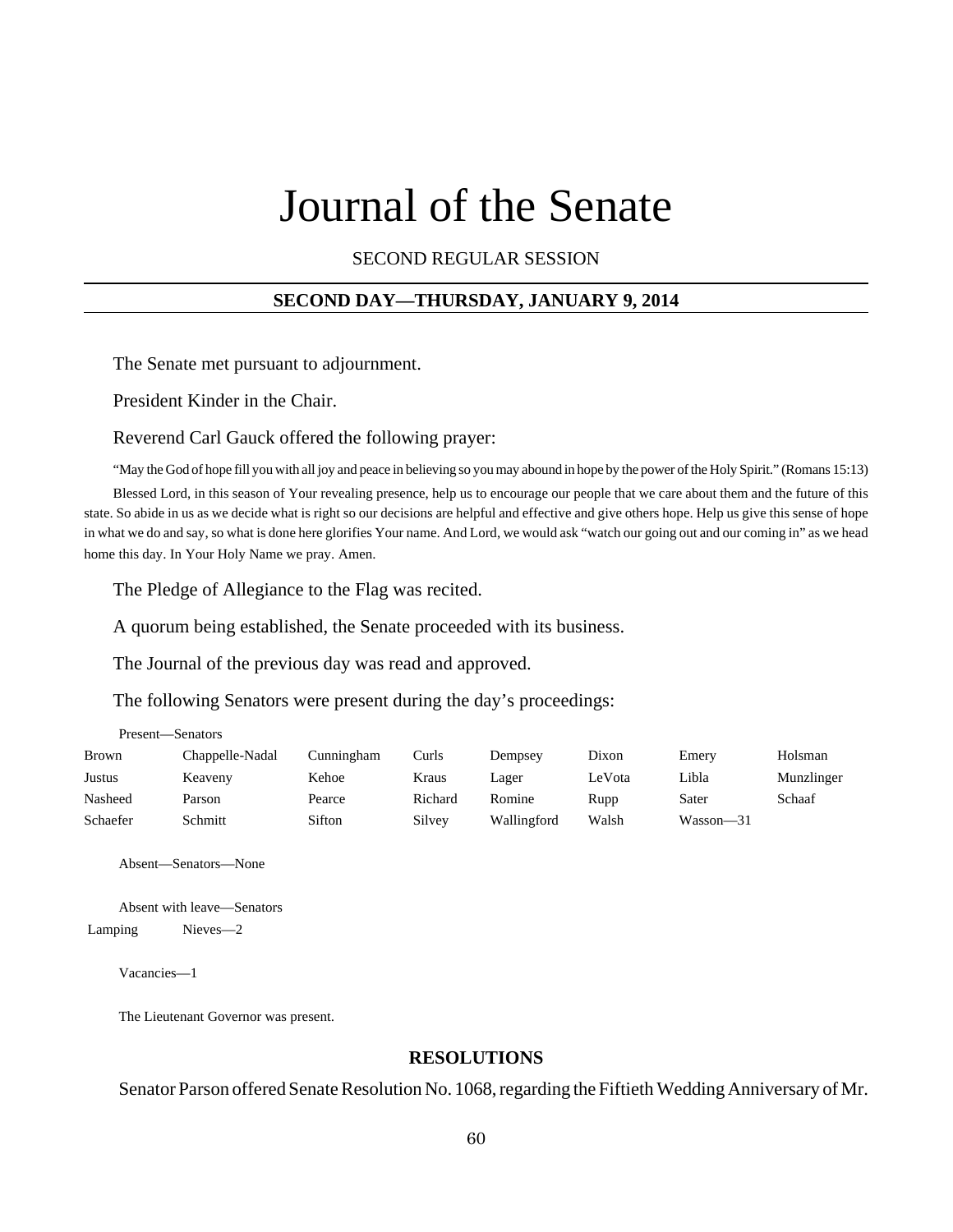# Journal of the Senate

SECOND REGULAR SESSION

#### **SECOND DAY—THURSDAY, JANUARY 9, 2014**

The Senate met pursuant to adjournment.

President Kinder in the Chair.

Reverend Carl Gauck offered the following prayer:

"May the God of hope fill you with all joy and peace in believing so you may abound in hope by the power of the Holy Spirit." (Romans 15:13)

Blessed Lord, in this season of Your revealing presence, help us to encourage our people that we care about them and the future of this state. So abide in us as we decide what is right so our decisions are helpful and effective and give others hope. Help us give this sense of hope in what we do and say, so what is done here glorifies Your name. And Lord, we would ask "watch our going out and our coming in" as we head home this day. In Your Holy Name we pray. Amen.

The Pledge of Allegiance to the Flag was recited.

A quorum being established, the Senate proceeded with its business.

The Journal of the previous day was read and approved.

The following Senators were present during the day's proceedings:

| Present—Senators |                 |            |         |             |        |           |            |
|------------------|-----------------|------------|---------|-------------|--------|-----------|------------|
| <b>Brown</b>     | Chappelle-Nadal | Cunningham | Curls   | Dempsey     | Dixon  | Emery     | Holsman    |
| Justus           | Keaveny         | Kehoe      | Kraus   | Lager       | LeVota | Libla     | Munzlinger |
| Nasheed          | Parson          | Pearce     | Richard | Romine      | Rupp   | Sater     | Schaaf     |
| Schaefer         | Schmitt         | Sifton     | Silvey  | Wallingford | Walsh  | Wasson—31 |            |

Absent—Senators—None

Absent with leave—Senators Lamping Nieves—2

Vacancies—1

The Lieutenant Governor was present.

#### **RESOLUTIONS**

Senator Parson offered Senate Resolution No. 1068, regarding the Fiftieth Wedding Anniversary of Mr.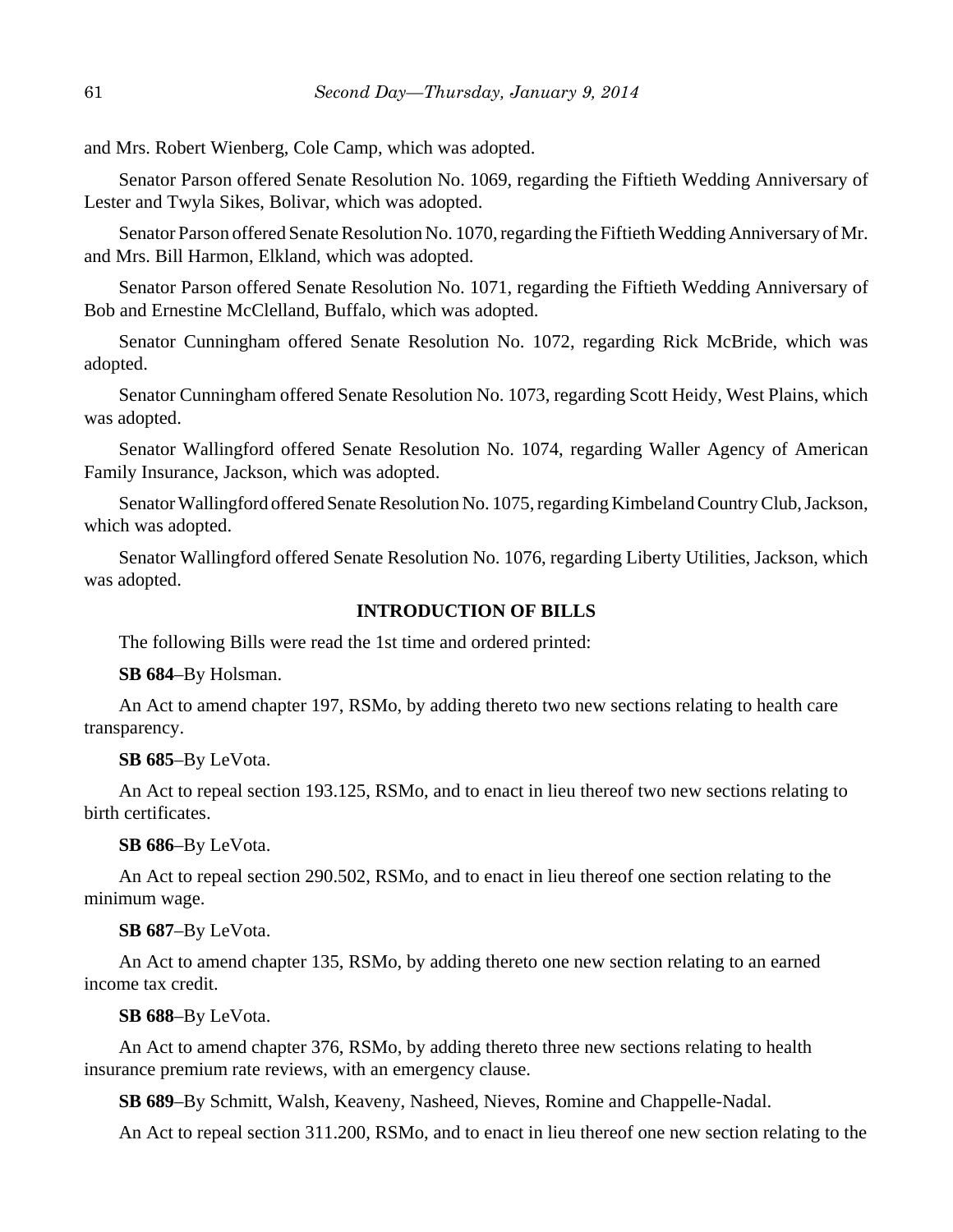and Mrs. Robert Wienberg, Cole Camp, which was adopted.

Senator Parson offered Senate Resolution No. 1069, regarding the Fiftieth Wedding Anniversary of Lester and Twyla Sikes, Bolivar, which was adopted.

Senator Parson offered Senate Resolution No. 1070, regarding the Fiftieth Wedding Anniversary of Mr. and Mrs. Bill Harmon, Elkland, which was adopted.

Senator Parson offered Senate Resolution No. 1071, regarding the Fiftieth Wedding Anniversary of Bob and Ernestine McClelland, Buffalo, which was adopted.

Senator Cunningham offered Senate Resolution No. 1072, regarding Rick McBride, which was adopted.

Senator Cunningham offered Senate Resolution No. 1073, regarding Scott Heidy, West Plains, which was adopted.

Senator Wallingford offered Senate Resolution No. 1074, regarding Waller Agency of American Family Insurance, Jackson, which was adopted.

Senator Wallingford offered Senate Resolution No. 1075, regarding Kimbeland Country Club, Jackson, which was adopted.

Senator Wallingford offered Senate Resolution No. 1076, regarding Liberty Utilities, Jackson, which was adopted.

#### **INTRODUCTION OF BILLS**

The following Bills were read the 1st time and ordered printed:

**SB 684**–By Holsman.

An Act to amend chapter 197, RSMo, by adding thereto two new sections relating to health care transparency.

**SB 685**–By LeVota.

An Act to repeal section 193.125, RSMo, and to enact in lieu thereof two new sections relating to birth certificates.

**SB 686**–By LeVota.

An Act to repeal section 290.502, RSMo, and to enact in lieu thereof one section relating to the minimum wage.

#### **SB 687**–By LeVota.

An Act to amend chapter 135, RSMo, by adding thereto one new section relating to an earned income tax credit.

#### **SB 688**–By LeVota.

An Act to amend chapter 376, RSMo, by adding thereto three new sections relating to health insurance premium rate reviews, with an emergency clause.

**SB 689**–By Schmitt, Walsh, Keaveny, Nasheed, Nieves, Romine and Chappelle-Nadal.

An Act to repeal section 311.200, RSMo, and to enact in lieu thereof one new section relating to the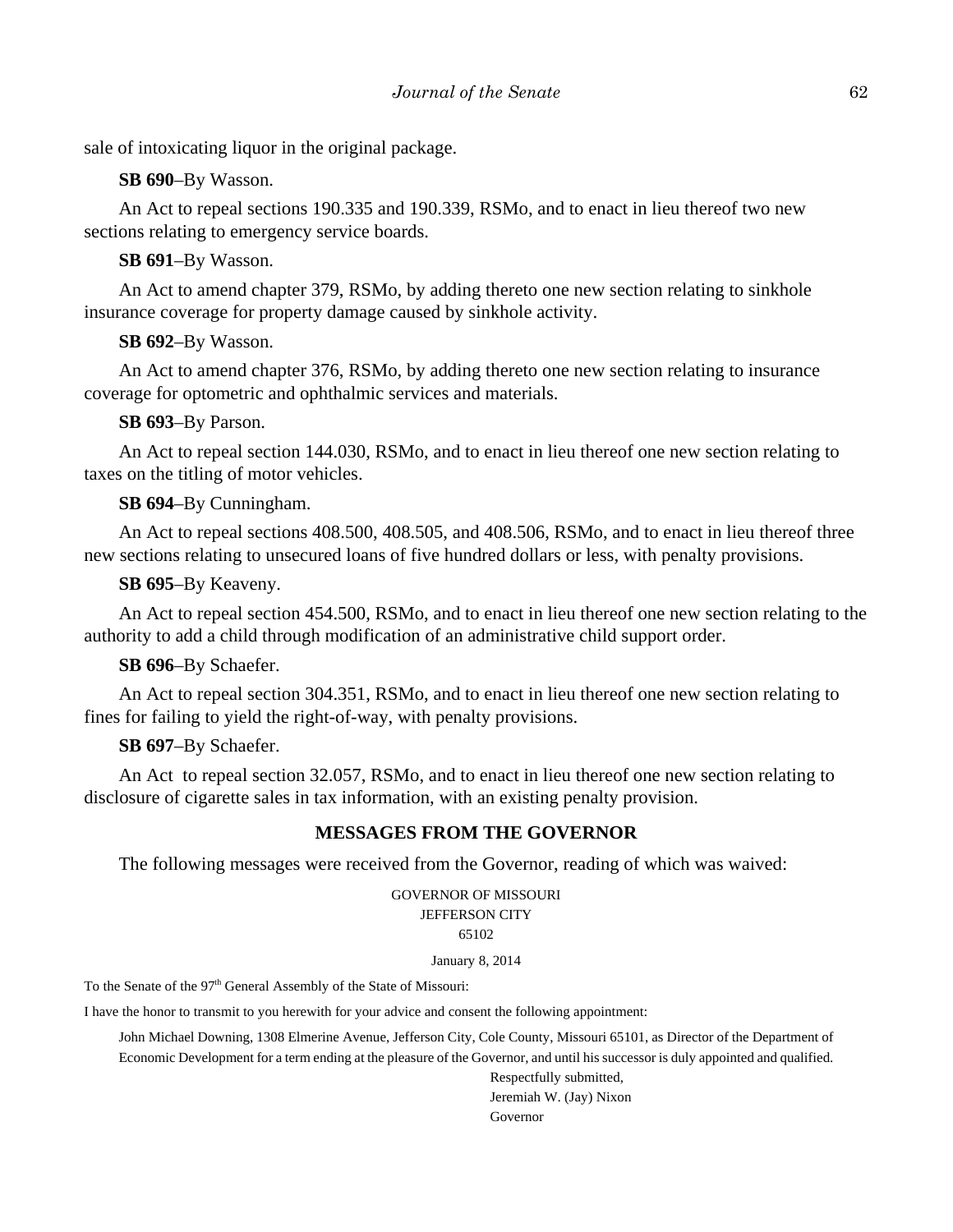sale of intoxicating liquor in the original package.

**SB 690**–By Wasson.

An Act to repeal sections 190.335 and 190.339, RSMo, and to enact in lieu thereof two new sections relating to emergency service boards.

### **SB 691**–By Wasson.

An Act to amend chapter 379, RSMo, by adding thereto one new section relating to sinkhole insurance coverage for property damage caused by sinkhole activity.

**SB 692**–By Wasson.

An Act to amend chapter 376, RSMo, by adding thereto one new section relating to insurance coverage for optometric and ophthalmic services and materials.

**SB 693**–By Parson.

An Act to repeal section 144.030, RSMo, and to enact in lieu thereof one new section relating to taxes on the titling of motor vehicles.

**SB 694**–By Cunningham.

An Act to repeal sections 408.500, 408.505, and 408.506, RSMo, and to enact in lieu thereof three new sections relating to unsecured loans of five hundred dollars or less, with penalty provisions.

**SB 695**–By Keaveny.

An Act to repeal section 454.500, RSMo, and to enact in lieu thereof one new section relating to the authority to add a child through modification of an administrative child support order.

**SB 696**–By Schaefer.

An Act to repeal section 304.351, RSMo, and to enact in lieu thereof one new section relating to fines for failing to yield the right-of-way, with penalty provisions.

**SB 697**–By Schaefer.

An Act to repeal section 32.057, RSMo, and to enact in lieu thereof one new section relating to disclosure of cigarette sales in tax information, with an existing penalty provision.

## **MESSAGES FROM THE GOVERNOR**

The following messages were received from the Governor, reading of which was waived:

GOVERNOR OF MISSOURI JEFFERSON CITY 65102

January 8, 2014

To the Senate of the 97<sup>th</sup> General Assembly of the State of Missouri:

I have the honor to transmit to you herewith for your advice and consent the following appointment:

John Michael Downing, 1308 Elmerine Avenue, Jefferson City, Cole County, Missouri 65101, as Director of the Department of Economic Development for a term ending at the pleasure of the Governor, and until his successor is duly appointed and qualified.

> Respectfully submitted, Jeremiah W. (Jay) Nixon Governor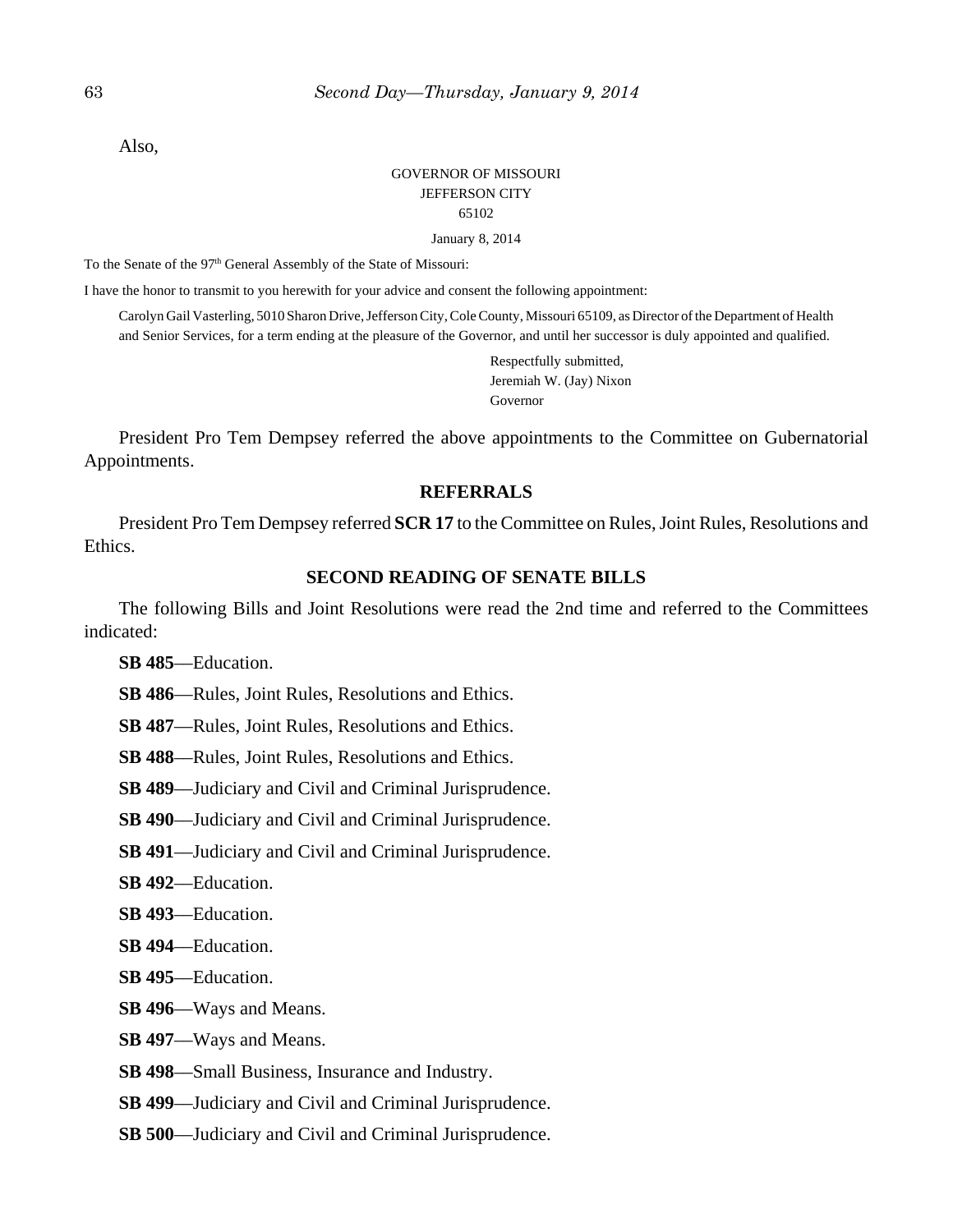Also,

## GOVERNOR OF MISSOURI JEFFERSON CITY 65102

January 8, 2014

To the Senate of the 97<sup>th</sup> General Assembly of the State of Missouri:

I have the honor to transmit to you herewith for your advice and consent the following appointment:

Carolyn Gail Vasterling, 5010 Sharon Drive, Jefferson City, Cole County, Missouri 65109, as Director of the Department of Health and Senior Services, for a term ending at the pleasure of the Governor, and until her successor is duly appointed and qualified.

> Respectfully submitted, Jeremiah W. (Jay) Nixon Governor

President Pro Tem Dempsey referred the above appointments to the Committee on Gubernatorial Appointments.

## **REFERRALS**

President Pro Tem Dempsey referred **SCR 17** to the Committee on Rules, Joint Rules, Resolutions and Ethics.

## **SECOND READING OF SENATE BILLS**

The following Bills and Joint Resolutions were read the 2nd time and referred to the Committees indicated:

**SB 485**––Education.

**SB 486**––Rules, Joint Rules, Resolutions and Ethics.

**SB 487**––Rules, Joint Rules, Resolutions and Ethics.

**SB 488**––Rules, Joint Rules, Resolutions and Ethics.

**SB 489**––Judiciary and Civil and Criminal Jurisprudence.

**SB 490**––Judiciary and Civil and Criminal Jurisprudence.

**SB 491**––Judiciary and Civil and Criminal Jurisprudence.

**SB 492**––Education.

**SB 493**––Education.

**SB 494**––Education.

**SB 495**––Education.

**SB 496**––Ways and Means.

**SB 497**––Ways and Means.

**SB 498**––Small Business, Insurance and Industry.

**SB 499**––Judiciary and Civil and Criminal Jurisprudence.

**SB 500**—Judiciary and Civil and Criminal Jurisprudence.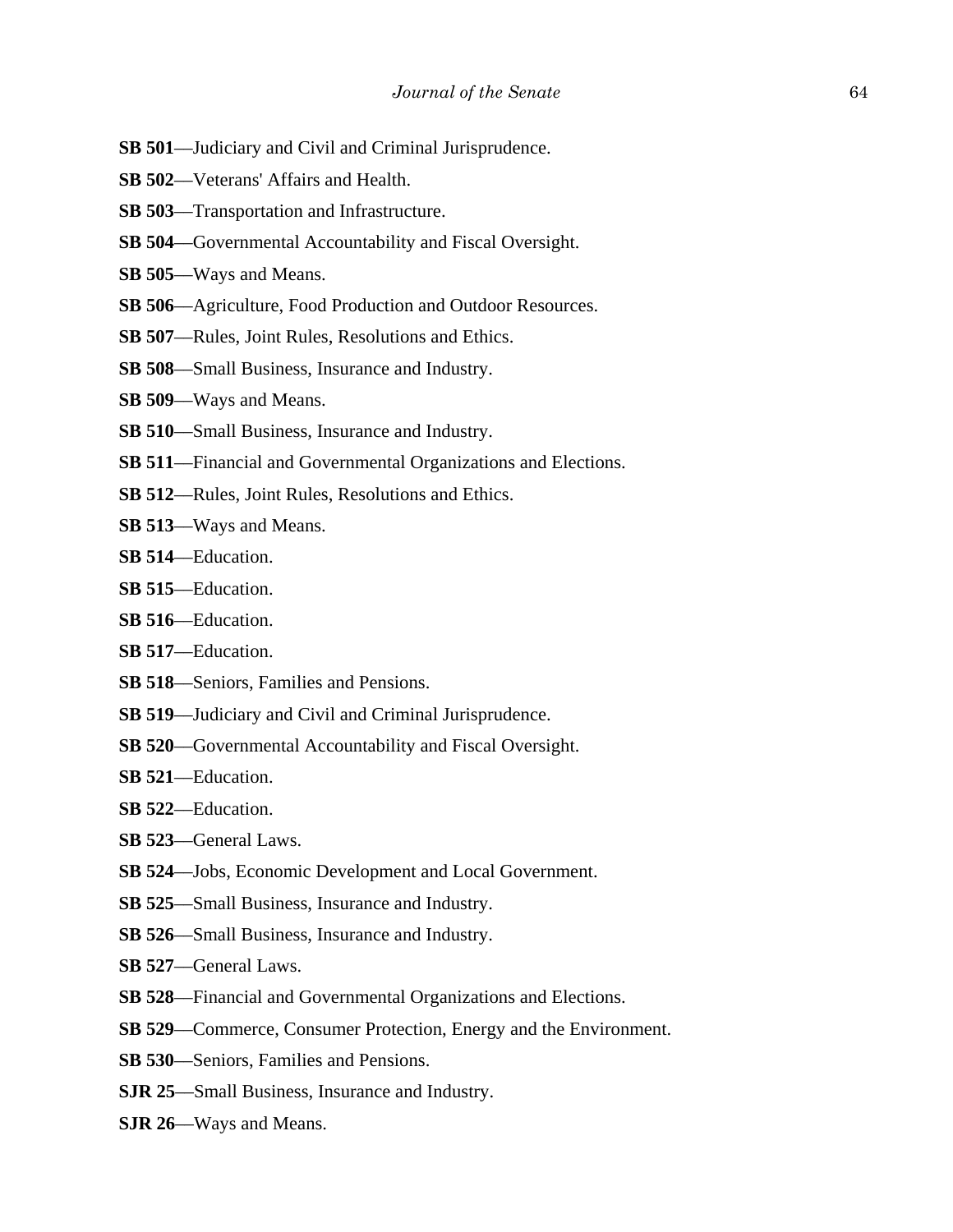- **SB 501**––Judiciary and Civil and Criminal Jurisprudence.
- **SB 502**––Veterans' Affairs and Health.
- **SB 503**––Transportation and Infrastructure.
- **SB 504**—Governmental Accountability and Fiscal Oversight.
- **SB 505**––Ways and Means.
- **SB 506**––Agriculture, Food Production and Outdoor Resources.
- **SB 507**––Rules, Joint Rules, Resolutions and Ethics.
- **SB 508**––Small Business, Insurance and Industry.
- **SB 509**––Ways and Means.
- **SB 510**––Small Business, Insurance and Industry.
- **SB 511**––Financial and Governmental Organizations and Elections.
- **SB 512**––Rules, Joint Rules, Resolutions and Ethics.
- **SB 513**––Ways and Means.
- **SB 514**––Education.
- **SB 515**––Education.
- **SB 516**––Education.
- **SB 517**––Education.
- **SB 518**––Seniors, Families and Pensions.
- **SB 519**––Judiciary and Civil and Criminal Jurisprudence.
- **SB 520**—Governmental Accountability and Fiscal Oversight.
- **SB 521**––Education.
- **SB 522**––Education.
- **SB 523**––General Laws.
- **SB 524**––Jobs, Economic Development and Local Government.
- **SB 525**––Small Business, Insurance and Industry.
- **SB 526**––Small Business, Insurance and Industry.
- **SB 527**––General Laws.
- **SB 528**––Financial and Governmental Organizations and Elections.
- **SB 529**––Commerce, Consumer Protection, Energy and the Environment.
- **SB 530**––Seniors, Families and Pensions.
- **SJR 25**––Small Business, Insurance and Industry.
- **SJR 26**––Ways and Means.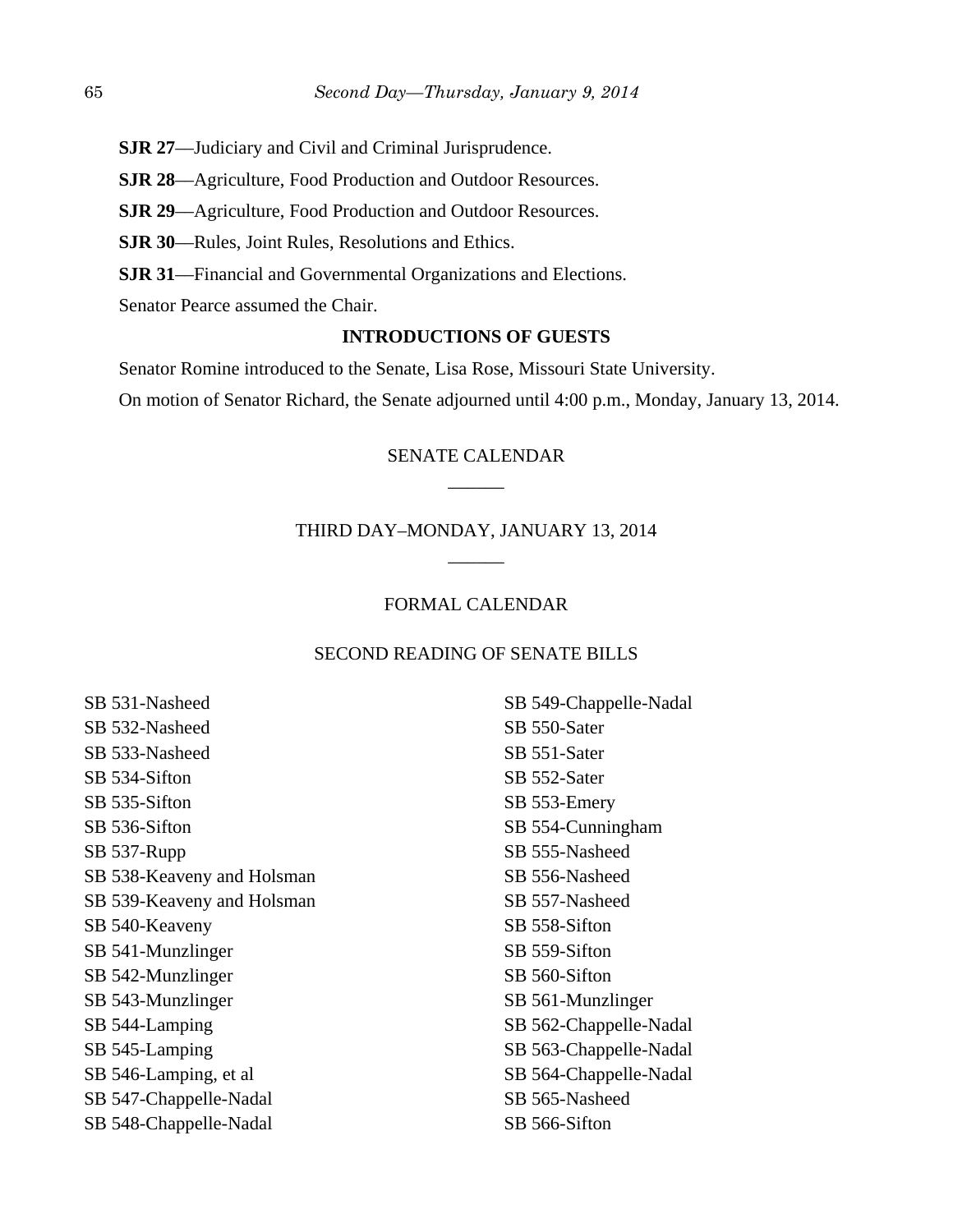**SJR 27**––Judiciary and Civil and Criminal Jurisprudence.

**SJR 28**––Agriculture, Food Production and Outdoor Resources.

**SJR 29**––Agriculture, Food Production and Outdoor Resources.

**SJR 30**––Rules, Joint Rules, Resolutions and Ethics.

**SJR 31**––Financial and Governmental Organizations and Elections.

Senator Pearce assumed the Chair.

## **INTRODUCTIONS OF GUESTS**

Senator Romine introduced to the Senate, Lisa Rose, Missouri State University.

On motion of Senator Richard, the Senate adjourned until 4:00 p.m., Monday, January 13, 2014.

# SENATE CALENDAR  $\overline{\phantom{a}}$

# THIRD DAY–MONDAY, JANUARY 13, 2014 \_\_\_\_\_\_

### FORMAL CALENDAR

#### SECOND READING OF SENATE BILLS

SB 531-Nasheed SB 532-Nasheed SB 533-Nasheed SB 534-Sifton SB 535-Sifton SB 536-Sifton SB 537-Rupp SB 538-Keaveny and Holsman SB 539-Keaveny and Holsman SB 540-Keaveny SB 541-Munzlinger SB 542-Munzlinger SB 543-Munzlinger SB 544-Lamping SB 545-Lamping SB 546-Lamping, et al SB 547-Chappelle-Nadal SB 548-Chappelle-Nadal

SB 549-Chappelle-Nadal SB 550-Sater SB 551-Sater SB 552-Sater SB 553-Emery SB 554-Cunningham SB 555-Nasheed SB 556-Nasheed SB 557-Nasheed SB 558-Sifton SB 559-Sifton SB 560-Sifton SB 561-Munzlinger SB 562-Chappelle-Nadal SB 563-Chappelle-Nadal SB 564-Chappelle-Nadal SB 565-Nasheed SB 566-Sifton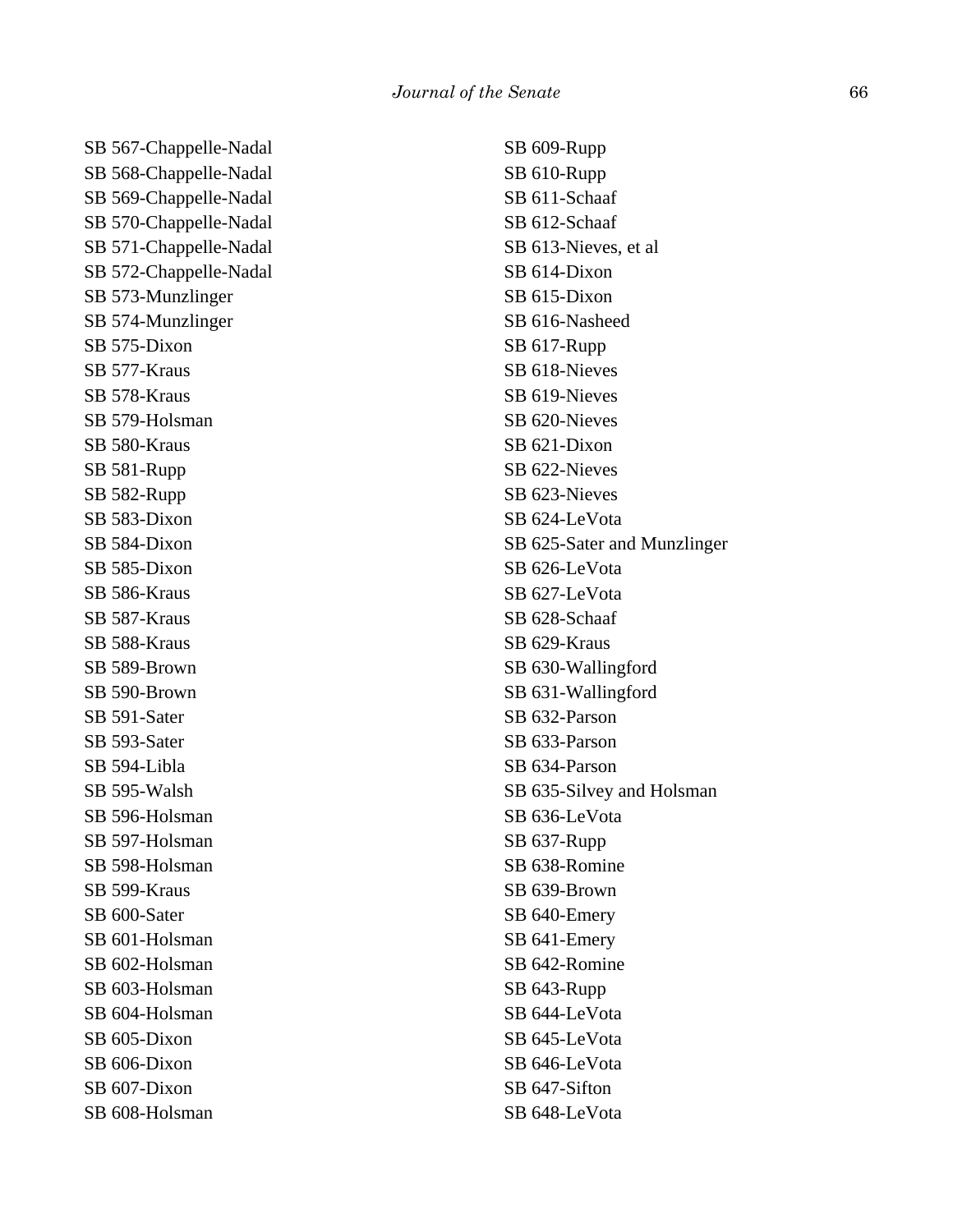SB 567-Chappelle-Nadal SB 568-Chappelle-Nadal SB 569-Chappelle-Nadal SB 570-Chappelle-Nadal SB 571-Chappelle-Nadal SB 572-Chappelle-Nadal SB 573-Munzlinger SB 574-Munzlinger SB 575-Dixon SB 577-Kraus SB 578-Kraus SB 579-Holsman SB 580-Kraus SB 581-Rupp SB 582-Rupp SB 583-Dixon SB 584-Dixon SB 585-Dixon SB 586-Kraus SB 587-Kraus SB 588-Kraus SB 589-Brown SB 590-Brown SB 591-Sater SB 593-Sater SB 594-Libla SB 595-Walsh SB 596-Holsman SB 597-Holsman SB 598-Holsman SB 599-Kraus SB 600-Sater SB 601-Holsman SB 602-Holsman SB 603-Holsman SB 604-Holsman SB 605-Dixon SB 606-Dixon SB 607-Dixon SB 608-Holsman

SB 609-Rupp SB 610-Rupp SB 611-Schaaf SB 612-Schaaf SB 613-Nieves, et al SB 614-Dixon SB 615-Dixon SB 616-Nasheed SB 617-Rupp SB 618-Nieves SB 619-Nieves SB 620-Nieves SB 621-Dixon SB 622-Nieves SB 623-Nieves SB 624-LeVota SB 625-Sater and Munzlinger SB 626-LeVota SB 627-LeVota SB 628-Schaaf SB 629-Kraus SB 630-Wallingford SB 631-Wallingford SB 632-Parson SB 633-Parson SB 634-Parson SB 635-Silvey and Holsman SB 636-LeVota SB 637-Rupp SB 638-Romine SB 639-Brown SB 640-Emery SB 641-Emery SB 642-Romine SB 643-Rupp SB 644-LeVota SB 645-LeVota SB 646-LeVota SB 647-Sifton SB 648-LeVota